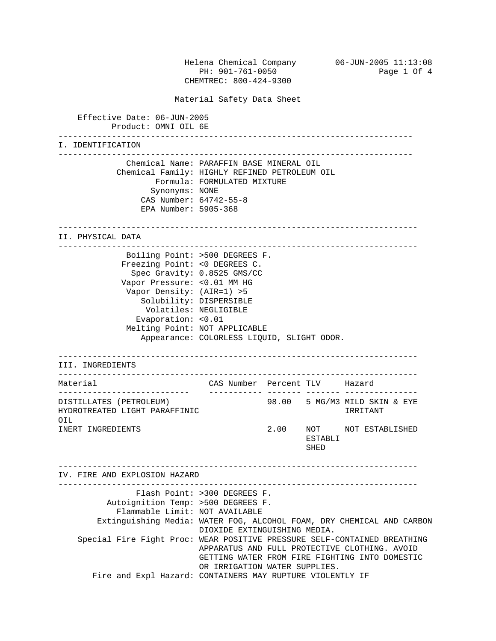Helena Chemical Company 06-JUN-2005 11:13:08 PH: 901-761-0050 Page 1 Of 4 CHEMTREC: 800-424-9300 Material Safety Data Sheet Effective Date: 06-JUN-2005 Product: OMNI OIL 6E ------------------------------------------------------------------------- I. IDENTIFICATION ------------------------------------------------------------------------- Chemical Name: PARAFFIN BASE MINERAL OIL Chemical Family: HIGHLY REFINED PETROLEUM OIL Formula: FORMULATED MIXTURE Synonyms: NONE CAS Number: 64742-55-8 EPA Number: 5905-368 -------------------------------------------------------------------------- II. PHYSICAL DATA -------------------------------------------------------------------------- Boiling Point: >500 DEGREES F. Freezing Point: <0 DEGREES C. Spec Gravity: 0.8525 GMS/CC Vapor Pressure: <0.01 MM HG Vapor Density: (AIR=1) >5 Solubility: DISPERSIBLE Volatiles: NEGLIGIBLE Evaporation: <0.01 Melting Point: NOT APPLICABLE Appearance: COLORLESS LIQUID, SLIGHT ODOR. -------------------------------------------------------------------------- III. INGREDIENTS -------------------------------------------------------------------------- Material CAS Number Percent TLV Hazard --------------------------- ----------- ------- ------- --------------- DISTILLATES (PETROLEUM) 98.00 5 MG/M3 MILD SKIN & EYE HYDROTREATED LIGHT PARAFFINIC IRRITANT OIL INERT INGREDIENTS 2.00 NOT NOT ESTABLISHED ESTABLI **SHED**  -------------------------------------------------------------------------- IV. FIRE AND EXPLOSION HAZARD -------------------------------------------------------------------------- Flash Point: >300 DEGREES F. Autoignition Temp: >500 DEGREES F. Flammable Limit: NOT AVAILABLE Extinguishing Media: WATER FOG, ALCOHOL FOAM, DRY CHEMICAL AND CARBON DIOXIDE EXTINGUISHING MEDIA. Special Fire Fight Proc: WEAR POSITIVE PRESSURE SELF-CONTAINED BREATHING APPARATUS AND FULL PROTECTIVE CLOTHING. AVOID GETTING WATER FROM FIRE FIGHTING INTO DOMESTIC OR IRRIGATION WATER SUPPLIES. Fire and Expl Hazard: CONTAINERS MAY RUPTURE VIOLENTLY IF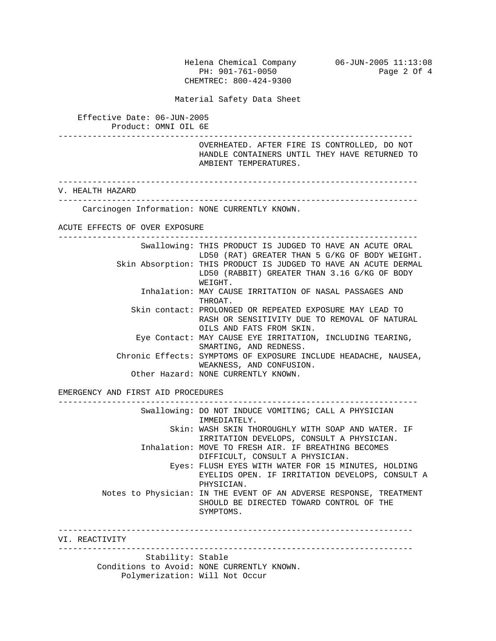Helena Chemical Company 06-JUN-2005 11:13:08 PH: 901-761-0050 Page 2 Of 4 CHEMTREC: 800-424-9300

Material Safety Data Sheet

 Effective Date: 06-JUN-2005 Product: OMNI OIL 6E

 ------------------------------------------------------------------------- OVERHEATED. AFTER FIRE IS CONTROLLED, DO NOT

 HANDLE CONTAINERS UNTIL THEY HAVE RETURNED TO AMBIENT TEMPERATURES.

--------------------------------------------------------------------------

V. HEALTH HAZARD

 -------------------------------------------------------------------------- Carcinogen Information: NONE CURRENTLY KNOWN.

ACUTE EFFECTS OF OVER EXPOSURE

 -------------------------------------------------------------------------- Swallowing: THIS PRODUCT IS JUDGED TO HAVE AN ACUTE ORAL LD50 (RAT) GREATER THAN 5 G/KG OF BODY WEIGHT. Skin Absorption: THIS PRODUCT IS JUDGED TO HAVE AN ACUTE DERMAL LD50 (RABBIT) GREATER THAN 3.16 G/KG OF BODY WEIGHT. Inhalation: MAY CAUSE IRRITATION OF NASAL PASSAGES AND THROAT. Skin contact: PROLONGED OR REPEATED EXPOSURE MAY LEAD TO RASH OR SENSITIVITY DUE TO REMOVAL OF NATURAL OILS AND FATS FROM SKIN. Eye Contact: MAY CAUSE EYE IRRITATION, INCLUDING TEARING, SMARTING, AND REDNESS. Chronic Effects: SYMPTOMS OF EXPOSURE INCLUDE HEADACHE, NAUSEA, WEAKNESS, AND CONFUSION. Other Hazard: NONE CURRENTLY KNOWN.

EMERGENCY AND FIRST AID PROCEDURES

 -------------------------------------------------------------------------- Swallowing: DO NOT INDUCE VOMITING; CALL A PHYSICIAN IMMEDIATELY. Skin: WASH SKIN THOROUGHLY WITH SOAP AND WATER. IF IRRITATION DEVELOPS, CONSULT A PHYSICIAN. Inhalation: MOVE TO FRESH AIR. IF BREATHING BECOMES DIFFICULT, CONSULT A PHYSICIAN. Eyes: FLUSH EYES WITH WATER FOR 15 MINUTES, HOLDING EYELIDS OPEN. IF IRRITATION DEVELOPS, CONSULT A PHYSICIAN. Notes to Physician: IN THE EVENT OF AN ADVERSE RESPONSE, TREATMENT SHOULD BE DIRECTED TOWARD CONTROL OF THE SYMPTOMS. ------------------------------------------------------------------------- VI. REACTIVITY ------------------------------------------------------------------------- Stability: Stable Conditions to Avoid: NONE CURRENTLY KNOWN.

Polymerization: Will Not Occur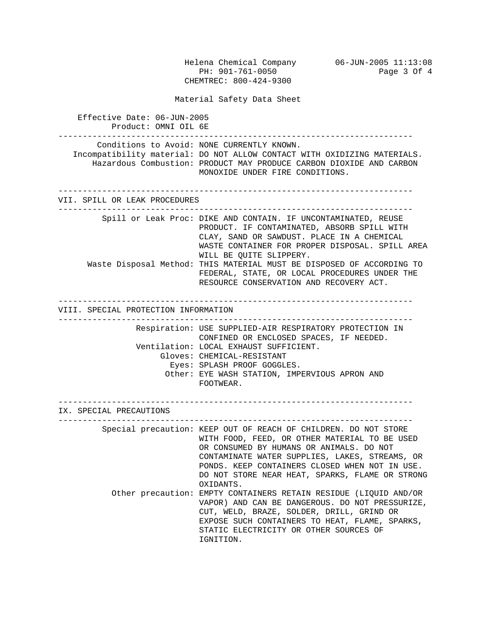Helena Chemical Company 06-JUN-2005 11:13:08 PH: 901-761-0050 Page 3 Of 4 CHEMTREC: 800-424-9300 Material Safety Data Sheet Effective Date: 06-JUN-2005 Product: OMNI OIL 6E ------------------------------------------------------------------------- Conditions to Avoid: NONE CURRENTLY KNOWN. Incompatibility material: DO NOT ALLOW CONTACT WITH OXIDIZING MATERIALS. Hazardous Combustion: PRODUCT MAY PRODUCE CARBON DIOXIDE AND CARBON MONOXIDE UNDER FIRE CONDITIONS. ------------------------------------------------------------------------- VII. SPILL OR LEAK PROCEDURES ------------------------------------------------------------------------- Spill or Leak Proc: DIKE AND CONTAIN. IF UNCONTAMINATED, REUSE PRODUCT. IF CONTAMINATED, ABSORB SPILL WITH CLAY, SAND OR SAWDUST. PLACE IN A CHEMICAL WASTE CONTAINER FOR PROPER DISPOSAL. SPILL AREA WILL BE QUITE SLIPPERY. Waste Disposal Method: THIS MATERIAL MUST BE DISPOSED OF ACCORDING TO FEDERAL, STATE, OR LOCAL PROCEDURES UNDER THE RESOURCE CONSERVATION AND RECOVERY ACT. ------------------------------------------------------------------------- VIII. SPECIAL PROTECTION INFORMATION ------------------------------------------------------------------------- Respiration: USE SUPPLIED-AIR RESPIRATORY PROTECTION IN CONFINED OR ENCLOSED SPACES, IF NEEDED. Ventilation: LOCAL EXHAUST SUFFICIENT. Gloves: CHEMICAL-RESISTANT Eyes: SPLASH PROOF GOGGLES. Other: EYE WASH STATION, IMPERVIOUS APRON AND FOOTWEAR. ------------------------------------------------------------------------- IX. SPECIAL PRECAUTIONS ------------------------------------------------------------------------- Special precaution: KEEP OUT OF REACH OF CHILDREN. DO NOT STORE WITH FOOD, FEED, OR OTHER MATERIAL TO BE USED OR CONSUMED BY HUMANS OR ANIMALS. DO NOT CONTAMINATE WATER SUPPLIES, LAKES, STREAMS, OR PONDS. KEEP CONTAINERS CLOSED WHEN NOT IN USE. DO NOT STORE NEAR HEAT, SPARKS, FLAME OR STRONG OXIDANTS. Other precaution: EMPTY CONTAINERS RETAIN RESIDUE (LIQUID AND/OR VAPOR) AND CAN BE DANGEROUS. DO NOT PRESSURIZE, CUT, WELD, BRAZE, SOLDER, DRILL, GRIND OR EXPOSE SUCH CONTAINERS TO HEAT, FLAME, SPARKS, STATIC ELECTRICITY OR OTHER SOURCES OF IGNITION.